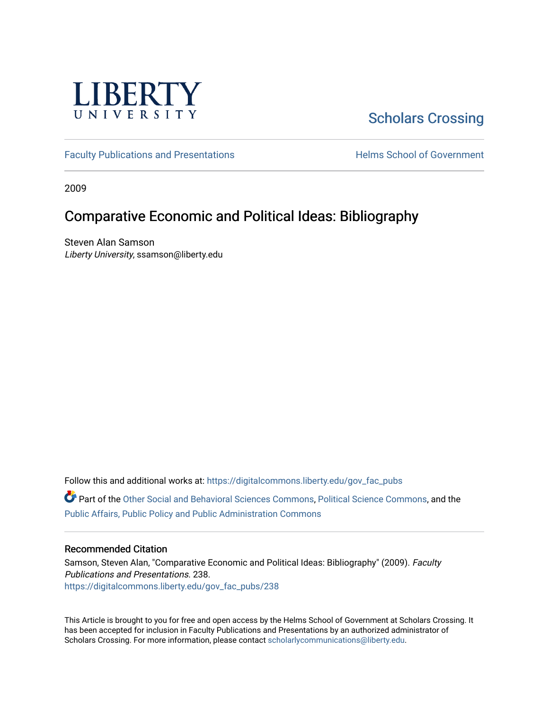

# [Scholars Crossing](https://digitalcommons.liberty.edu/)

[Faculty Publications and Presentations](https://digitalcommons.liberty.edu/gov_fac_pubs) **Exercise School of Government** 

2009

### Comparative Economic and Political Ideas: Bibliography

Steven Alan Samson Liberty University, ssamson@liberty.edu

Follow this and additional works at: [https://digitalcommons.liberty.edu/gov\\_fac\\_pubs](https://digitalcommons.liberty.edu/gov_fac_pubs?utm_source=digitalcommons.liberty.edu%2Fgov_fac_pubs%2F238&utm_medium=PDF&utm_campaign=PDFCoverPages)

Part of the [Other Social and Behavioral Sciences Commons](http://network.bepress.com/hgg/discipline/437?utm_source=digitalcommons.liberty.edu%2Fgov_fac_pubs%2F238&utm_medium=PDF&utm_campaign=PDFCoverPages), [Political Science Commons](http://network.bepress.com/hgg/discipline/386?utm_source=digitalcommons.liberty.edu%2Fgov_fac_pubs%2F238&utm_medium=PDF&utm_campaign=PDFCoverPages), and the [Public Affairs, Public Policy and Public Administration Commons](http://network.bepress.com/hgg/discipline/393?utm_source=digitalcommons.liberty.edu%2Fgov_fac_pubs%2F238&utm_medium=PDF&utm_campaign=PDFCoverPages)

### Recommended Citation

Samson, Steven Alan, "Comparative Economic and Political Ideas: Bibliography" (2009). Faculty Publications and Presentations. 238. [https://digitalcommons.liberty.edu/gov\\_fac\\_pubs/238](https://digitalcommons.liberty.edu/gov_fac_pubs/238?utm_source=digitalcommons.liberty.edu%2Fgov_fac_pubs%2F238&utm_medium=PDF&utm_campaign=PDFCoverPages)

This Article is brought to you for free and open access by the Helms School of Government at Scholars Crossing. It has been accepted for inclusion in Faculty Publications and Presentations by an authorized administrator of Scholars Crossing. For more information, please contact [scholarlycommunications@liberty.edu.](mailto:scholarlycommunications@liberty.edu)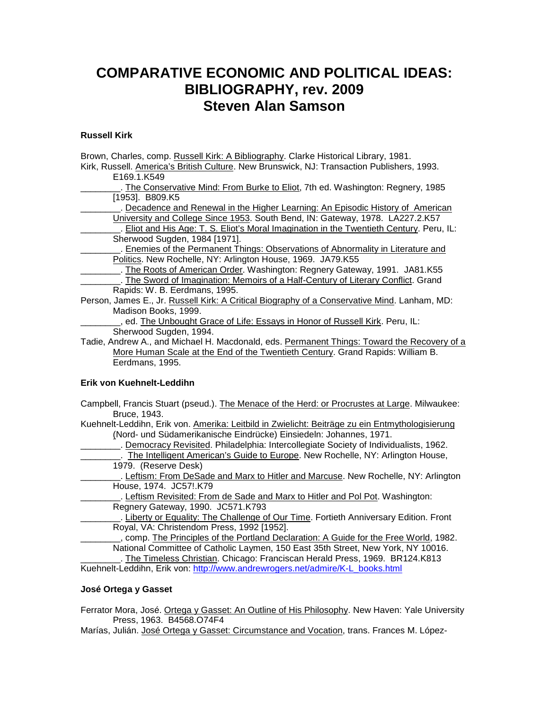## **COMPARATIVE ECONOMIC AND POLITICAL IDEAS: BIBLIOGRAPHY, rev. 2009 Steven Alan Samson**

#### **Russell Kirk**

Brown, Charles, comp. Russell Kirk: A Bibliography. Clarke Historical Library, 1981. Kirk, Russell. America's British Culture. New Brunswick, NJ: Transaction Publishers, 1993. E169.1.K549 The Conservative Mind: From Burke to Eliot, 7th ed. Washington: Regnery, 1985 [1953]. B809.K5 \_\_\_\_\_\_\_\_. Decadence and Renewal in the Higher Learning: An Episodic History of American University and College Since 1953. South Bend, IN: Gateway, 1978. LA227.2.K57 \_\_\_\_\_\_\_\_. Eliot and His Age: T. S. Eliot's Moral Imagination in the Twentieth Century. Peru, IL: Sherwood Sugden, 1984 [1971]. Enemies of the Permanent Things: Observations of Abnormality in Literature and Politics. New Rochelle, NY: Arlington House, 1969. JA79.K55 L. The Roots of American Order. Washington: Regnery Gateway, 1991. JA81.K55 \_\_\_\_\_\_\_\_. The Sword of Imagination: Memoirs of a Half-Century of Literary Conflict. Grand Rapids: W. B. Eerdmans, 1995. Person, James E., Jr. Russell Kirk: A Critical Biography of a Conservative Mind. Lanham, MD: Madison Books, 1999. \_\_\_\_\_\_\_\_, ed. The Unbought Grace of Life: Essays in Honor of Russell Kirk. Peru, IL: Sherwood Sugden, 1994. Tadie, Andrew A., and Michael H. Macdonald, eds. Permanent Things: Toward the Recovery of a More Human Scale at the End of the Twentieth Century. Grand Rapids: William B.

Eerdmans, 1995.

#### **Erik von Kuehnelt-Leddihn**

Campbell, Francis Stuart (pseud.). The Menace of the Herd: or Procrustes at Large. Milwaukee: Bruce, 1943.

Kuehnelt-Leddihn, Erik von. Amerika: Leitbild in Zwielicht: Beiträge zu ein Entmythologisierung (Nord- und Südamerikanische Eindrücke) Einsiedeln: Johannes, 1971.

\_\_\_\_\_\_\_\_. Democracy Revisited. Philadelphia: Intercollegiate Society of Individualists, 1962.

. The Intelligent American's Guide to Europe. New Rochelle, NY: Arlington House, 1979. (Reserve Desk)

\_\_\_\_\_\_\_\_. Leftism: From DeSade and Marx to Hitler and Marcuse. New Rochelle, NY: Arlington House, 1974. JC57!.K79

\_\_\_\_\_\_\_\_. Leftism Revisited: From de Sade and Marx to Hitler and Pol Pot. Washington: Regnery Gateway, 1990. JC571.K793

... Liberty or Equality: The Challenge of Our Time. Fortieth Anniversary Edition. Front Royal, VA: Christendom Press, 1992 [1952].

\_\_\_\_\_\_\_\_, comp. The Principles of the Portland Declaration: A Guide for the Free World, 1982. National Committee of Catholic Laymen, 150 East 35th Street, New York, NY 10016.

\_\_\_\_\_\_\_\_. The Timeless Christian. Chicago: Franciscan Herald Press, 1969. BR124.K813 Kuehnelt-Leddihn, Erik von: [http://www.andrewrogers.net/admire/K-L\\_books.html](http://www.andrewrogers.net/admire/K-L_books.html)

#### **José Ortega y Gasset**

Ferrator Mora, José. Ortega y Gasset: An Outline of His Philosophy. New Haven: Yale University Press, 1963. B4568.O74F4

Marías, Julián. José Ortega y Gasset: Circumstance and Vocation, trans. Frances M. López-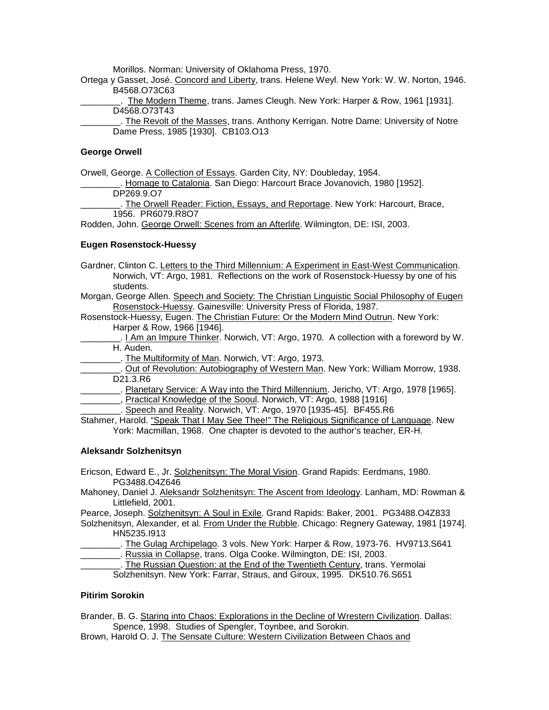Morillos. Norman: University of Oklahoma Press, 1970.

Ortega y Gasset, José. Concord and Liberty, trans. Helene Weyl. New York: W. W. Norton, 1946. B4568.O73C63

\_\_\_\_\_\_\_\_. The Modern Theme, trans. James Cleugh. New York: Harper & Row, 1961 [1931]. D4568.O73T43

\_\_\_\_\_\_\_\_. The Revolt of the Masses, trans. Anthony Kerrigan. Notre Dame: University of Notre Dame Press, 1985 [1930]. CB103.O13

#### **George Orwell**

Orwell, George. A Collection of Essays. Garden City, NY: Doubleday, 1954.

Homage to Catalonia. San Diego: Harcourt Brace Jovanovich, 1980 [1952]. DP269.9.O7

The Orwell Reader: Fiction, Essays, and Reportage. New York: Harcourt, Brace, 1956. PR6079.R8O7

Rodden, John. George Orwell: Scenes from an Afterlife. Wilmington, DE: ISI, 2003.

#### **Eugen Rosenstock-Huessy**

Gardner, Clinton C. Letters to the Third Millennium: A Experiment in East-West Communication. Norwich, VT: Argo, 1981. Reflections on the work of Rosenstock-Huessy by one of his students.

Morgan, George Allen. Speech and Society: The Christian Linguistic Social Philosophy of Eugen Rosenstock-Huessy. Gainesville: University Press of Florida, 1987.

Rosenstock-Huessy, Eugen. The Christian Future: Or the Modern Mind Outrun. New York: Harper & Row, 1966 [1946].

. I Am an Impure Thinker. Norwich, VT: Argo, 1970. A collection with a foreword by W. H. Auden.

\_\_\_\_\_\_\_\_. The Multiformity of Man. Norwich, VT: Argo, 1973.

\_\_\_\_\_\_\_\_. Out of Revolution: Autobiography of Western Man. New York: William Morrow, 1938. D21.3.R6

Lucks Planetary Service: A Way into the Third Millennium. Jericho, VT: Argo, 1978 [1965].

\_\_, Practical Knowledge of the Sooul. Norwich, VT: Argo, 1988 [1916]

\_\_\_\_\_\_\_\_. Speech and Reality. Norwich, VT: Argo, 1970 [1935-45]. BF455.R6

Stahmer, Harold. "Speak That I May See Thee!" The Religious Significance of Language. New York: Macmillan, 1968. One chapter is devoted to the author's teacher, ER-H.

#### **Aleksandr Solzhenitsyn**

Ericson, Edward E., Jr. Solzhenitsyn: The Moral Vision. Grand Rapids: Eerdmans, 1980. PG3488.O4Z646

Mahoney, Daniel J. Aleksandr Solzhenitsyn: The Ascent from Ideology. Lanham, MD: Rowman & Littlefield, 2001.

Pearce, Joseph. Solzhenitsyn: A Soul in Exile. Grand Rapids: Baker, 2001. PG3488.O4Z833 Solzhenitsyn, Alexander, et al. From Under the Rubble. Chicago: Regnery Gateway, 1981 [1974].

HN5235.I913

L. The Gulag Archipelago. 3 vols. New York: Harper & Row, 1973-76. HV9713.S641

Lucks. Russia in Collapse, trans. Olga Cooke. Wilmington, DE: ISI, 2003.

. The Russian Question: at the End of the Twentieth Century, trans. Yermolai Solzhenitsyn. New York: Farrar, Straus, and Giroux, 1995. DK510.76.S651

#### **Pitirim Sorokin**

Brander, B. G. Staring into Chaos: Explorations in the Decline of Wrestern Civilization. Dallas: Spence, 1998. Studies of Spengler, Toynbee, and Sorokin.

Brown, Harold O. J. The Sensate Culture: Western Civilization Between Chaos and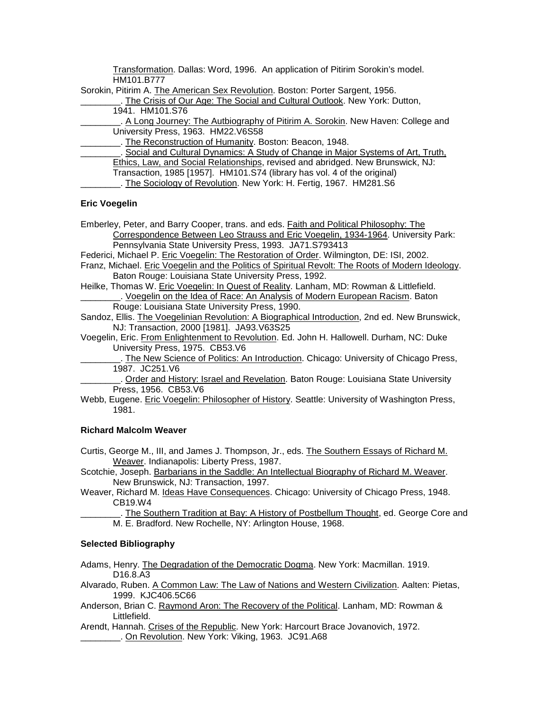Transformation. Dallas: Word, 1996. An application of Pitirim Sorokin's model. HM101.B777

Sorokin, Pitirim A. The American Sex Revolution. Boston: Porter Sargent, 1956.

. The Crisis of Our Age: The Social and Cultural Outlook. New York: Dutton, 1941. HM101.S76

\_\_\_\_\_\_\_\_. A Long Journey: The Autbiography of Pitirim A. Sorokin. New Haven: College and University Press, 1963. HM22.V6S58

\_\_\_\_\_\_\_\_. The Reconstruction of Humanity. Boston: Beacon, 1948.

.. Social and Cultural Dynamics: A Study of Change in Major Systems of Art, Truth,

Ethics, Law, and Social Relationships, revised and abridged. New Brunswick, NJ:

Transaction, 1985 [1957]. HM101.S74 (library has vol. 4 of the original)

. The Sociology of Revolution. New York: H. Fertig, 1967. HM281.S6

#### **Eric Voegelin**

Emberley, Peter, and Barry Cooper, trans. and eds. Faith and Political Philosophy: The Correspondence Between Leo Strauss and Eric Voegelin, 1934-1964. University Park: Pennsylvania State University Press, 1993. JA71.S793413

Federici, Michael P. Eric Voegelin: The Restoration of Order. Wilmington, DE: ISI, 2002.

Franz, Michael. Eric Voegelin and the Politics of Spiritual Revolt: The Roots of Modern Ideology. Baton Rouge: Louisiana State University Press, 1992.

- Heilke, Thomas W. Eric Voegelin: In Quest of Reality. Lanham, MD: Rowman & Littlefield. \_\_\_\_\_\_\_\_. Voegelin on the Idea of Race: An Analysis of Modern European Racism. Baton
	- Rouge: Louisiana State University Press, 1990.

Sandoz, Ellis. The Voegelinian Revolution: A Biographical Introduction, 2nd ed. New Brunswick, NJ: Transaction, 2000 [1981]. JA93.V63S25

Voegelin, Eric. From Enlightenment to Revolution. Ed. John H. Hallowell. Durham, NC: Duke University Press, 1975. CB53.V6

. The New Science of Politics: An Introduction. Chicago: University of Chicago Press, 1987. JC251.V6

. Order and History: Israel and Revelation. Baton Rouge: Louisiana State University Press, 1956. CB53.V6

Webb, Eugene. Eric Voegelin: Philosopher of History. Seattle: University of Washington Press, 1981.

#### **Richard Malcolm Weaver**

Curtis, George M., III, and James J. Thompson, Jr., eds. The Southern Essays of Richard M. Weaver. Indianapolis: Liberty Press, 1987.

Scotchie, Joseph. Barbarians in the Saddle: An Intellectual Biography of Richard M. Weaver. New Brunswick, NJ: Transaction, 1997.

Weaver, Richard M. Ideas Have Consequences. Chicago: University of Chicago Press, 1948. CB19.W4

The Southern Tradition at Bay: A History of Postbellum Thought, ed. George Core and M. E. Bradford. New Rochelle, NY: Arlington House, 1968.

#### **Selected Bibliography**

Adams, Henry. The Degradation of the Democratic Dogma. New York: Macmillan. 1919. D16.8.A3

Alvarado, Ruben. A Common Law: The Law of Nations and Western Civilization. Aalten: Pietas, 1999. KJC406.5C66

Anderson, Brian C. Raymond Aron: The Recovery of the Political. Lanham, MD: Rowman & Littlefield.

Arendt, Hannah. Crises of the Republic. New York: Harcourt Brace Jovanovich, 1972. \_\_\_\_\_\_\_\_. On Revolution. New York: Viking, 1963. JC91.A68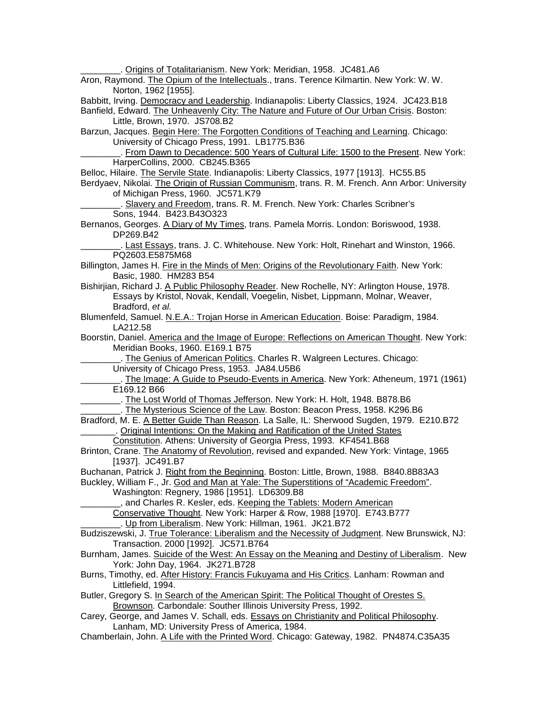Origins of Totalitarianism. New York: Meridian, 1958. JC481.A6 Aron, Raymond. The Opium of the Intellectuals., trans. Terence Kilmartin. New York: W. W. Norton, 1962 [1955]. Babbitt, Irving. Democracy and Leadership. Indianapolis: Liberty Classics, 1924. JC423.B18 Banfield, Edward. The Unheavenly City: The Nature and Future of Our Urban Crisis. Boston: Little, Brown, 1970. JS708.B2 Barzun, Jacques. Begin Here: The Forgotten Conditions of Teaching and Learning. Chicago: University of Chicago Press, 1991. LB1775.B36 . From Dawn to Decadence: 500 Years of Cultural Life: 1500 to the Present. New York: HarperCollins, 2000. CB245.B365 Belloc, Hilaire. The Servile State. Indianapolis: Liberty Classics, 1977 [1913]. HC55.B5 Berdyaev, Nikolai. The Origin of Russian Communism, trans. R. M. French. Ann Arbor: University of Michigan Press, 1960. JC571.K79 Slavery and Freedom, trans. R. M. French. New York: Charles Scribner's Sons, 1944. B423.B43O323 Bernanos, Georges. A Diary of My Times, trans. Pamela Morris. London: Boriswood, 1938. DP269.B42 \_\_\_\_\_\_\_\_. Last Essays, trans. J. C. Whitehouse. New York: Holt, Rinehart and Winston, 1966. PQ2603.E5875M68 Billington, James H. Fire in the Minds of Men: Origins of the Revolutionary Faith. New York: Basic, 1980. HM283 B54 Bishirjian, Richard J. A Public Philosophy Reader. New Rochelle, NY: Arlington House, 1978. Essays by Kristol, Novak, Kendall, Voegelin, Nisbet, Lippmann, Molnar, Weaver, Bradford, *et al.* Blumenfeld, Samuel. N.E.A.: Trojan Horse in American Education. Boise: Paradigm, 1984. LA212.58 Boorstin, Daniel. America and the Image of Europe: Reflections on American Thought. New York: Meridian Books, 1960. E169.1 B75 . The Genius of American Politics. Charles R. Walgreen Lectures. Chicago: University of Chicago Press, 1953. JA84.U5B6 \_\_\_\_\_\_\_\_. The Image: A Guide to Pseudo-Events in America. New York: Atheneum, 1971 (1961) E169.12 B66 . The Lost World of Thomas Jefferson. New York: H. Holt, 1948. B878.B6 . The Mysterious Science of the Law. Boston: Beacon Press, 1958. K296.B6 Bradford, M. E. A Better Guide Than Reason. La Salle, IL: Sherwood Sugden, 1979. E210.B72 \_\_\_\_\_\_\_. Original Intentions: On the Making and Ratification of the United States Constitution. Athens: University of Georgia Press, 1993. KF4541.B68 Brinton, Crane. The Anatomy of Revolution, revised and expanded. New York: Vintage, 1965 [1937]. JC491.B7 Buchanan, Patrick J. Right from the Beginning. Boston: Little, Brown, 1988. B840.8B83A3 Buckley, William F., Jr. God and Man at Yale: The Superstitions of "Academic Freedom". Washington: Regnery, 1986 [1951]. LD6309.B8 ..., and Charles R. Kesler, eds. Keeping the Tablets: Modern American Conservative Thought. New York: Harper & Row, 1988 [1970]. E743.B777 . Up from Liberalism. New York: Hillman, 1961. JK21.B72 Budziszewski, J. True Tolerance: Liberalism and the Necessity of Judgment. New Brunswick, NJ: Transaction. 2000 [1992]. JC571.B764 Burnham, James. Suicide of the West: An Essay on the Meaning and Destiny of Liberalism. New York: John Day, 1964. JK271.B728 Burns, Timothy, ed. After History: Francis Fukuyama and His Critics. Lanham: Rowman and Littlefield, 1994. Butler, Gregory S. In Search of the American Spirit: The Political Thought of Orestes S. Brownson. Carbondale: Souther Illinois University Press, 1992. Carey, George, and James V. Schall, eds. Essays on Christianity and Political Philosophy. Lanham, MD: University Press of America, 1984. Chamberlain, John. A Life with the Printed Word. Chicago: Gateway, 1982. PN4874.C35A35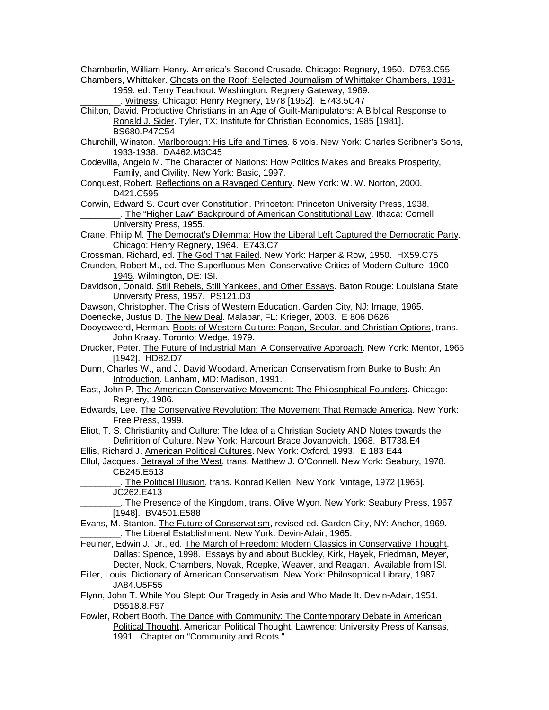Chamberlin, William Henry. America's Second Crusade. Chicago: Regnery, 1950. D753.C55 Chambers, Whittaker. Ghosts on the Roof: Selected Journalism of Whittaker Chambers, 1931-

1959. ed. Terry Teachout. Washington: Regnery Gateway, 1989. \_\_\_\_\_\_\_\_. Witness. Chicago: Henry Regnery, 1978 [1952]. E743.5C47

Chilton, David. Productive Christians in an Age of Guilt-Manipulators: A Biblical Response to Ronald J. Sider. Tyler, TX: Institute for Christian Economics, 1985 [1981]. BS680.P47C54

- Churchill, Winston. Marlborough: His Life and Times. 6 vols. New York: Charles Scribner's Sons, 1933-1938. DA462.M3C45
- Codevilla, Angelo M. The Character of Nations: How Politics Makes and Breaks Prosperity, Family, and Civility. New York: Basic, 1997.
- Conquest, Robert. Reflections on a Ravaged Century. New York: W. W. Norton, 2000. D421.C595

Corwin, Edward S. Court over Constitution. Princeton: Princeton University Press, 1938. . The "Higher Law" Background of American Constitutional Law. Ithaca: Cornell University Press, 1955.

- Crane, Philip M. The Democrat's Dilemma: How the Liberal Left Captured the Democratic Party. Chicago: Henry Regnery, 1964. E743.C7
- Crossman, Richard, ed. The God That Failed. New York: Harper & Row, 1950. HX59.C75
- Crunden, Robert M., ed. The Superfluous Men: Conservative Critics of Modern Culture, 1900- 1945. Wilmington, DE: ISI.
- Davidson, Donald. Still Rebels, Still Yankees, and Other Essays. Baton Rouge: Louisiana State University Press, 1957. PS121.D3

Dawson, Christopher. The Crisis of Western Education. Garden City, NJ: Image, 1965.

- Doenecke, Justus D. The New Deal. Malabar, FL: Krieger, 2003. E 806 D626
- Dooyeweerd, Herman. Roots of Western Culture: Pagan, Secular, and Christian Options, trans. John Kraay. Toronto: Wedge, 1979.
- Drucker, Peter. The Future of Industrial Man: A Conservative Approach. New York: Mentor, 1965 [1942]. HD82.D7
- Dunn, Charles W., and J. David Woodard. American Conservatism from Burke to Bush: An Introduction. Lanham, MD: Madison, 1991.
- East, John P, The American Conservative Movement: The Philosophical Founders. Chicago: Regnery, 1986.
- Edwards, Lee. The Conservative Revolution: The Movement That Remade America. New York: Free Press, 1999.
- Eliot, T. S. Christianity and Culture: The Idea of a Christian Society AND Notes towards the Definition of Culture. New York: Harcourt Brace Jovanovich, 1968. BT738.E4
- Ellis, Richard J. American Political Cultures. New York: Oxford, 1993. E 183 E44
- Ellul, Jacques. Betrayal of the West, trans. Matthew J. O'Connell. New York: Seabury, 1978. CB245.E513
	- \_\_\_\_\_\_\_\_. The Political Illusion, trans. Konrad Kellen. New York: Vintage, 1972 [1965]. JC262.E413

. The Presence of the Kingdom, trans. Olive Wyon. New York: Seabury Press, 1967 [1948]. BV4501.E588

- Evans, M. Stanton. The Future of Conservatism, revised ed. Garden City, NY: Anchor, 1969. \_\_\_\_\_\_\_\_. The Liberal Establishment. New York: Devin-Adair, 1965.
- Feulner, Edwin J., Jr., ed. The March of Freedom: Modern Classics in Conservative Thought. Dallas: Spence, 1998. Essays by and about Buckley, Kirk, Hayek, Friedman, Meyer, Decter, Nock, Chambers, Novak, Roepke, Weaver, and Reagan. Available from ISI.
- Filler, Louis. Dictionary of American Conservatism. New York: Philosophical Library, 1987. JA84.U5F55
- Flynn, John T. While You Slept: Our Tragedy in Asia and Who Made It. Devin-Adair, 1951. D5518.8.F57
- Fowler, Robert Booth. The Dance with Community: The Contemporary Debate in American Political Thought. American Political Thought. Lawrence: University Press of Kansas, 1991. Chapter on "Community and Roots."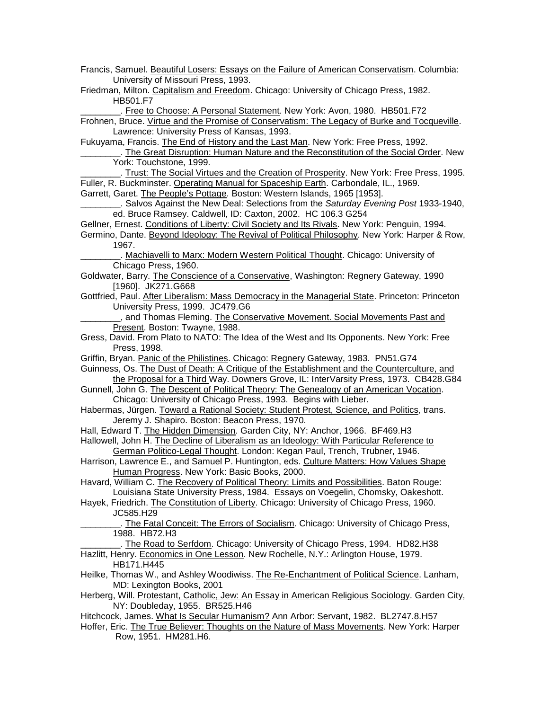Francis, Samuel. Beautiful Losers: Essays on the Failure of American Conservatism. Columbia: University of Missouri Press, 1993.

Friedman, Milton. Capitalism and Freedom. Chicago: University of Chicago Press, 1982. HB501.F7

\_\_\_\_\_\_\_\_. Free to Choose: A Personal Statement. New York: Avon, 1980. HB501.F72

Frohnen, Bruce. Virtue and the Promise of Conservatism: The Legacy of Burke and Tocqueville. Lawrence: University Press of Kansas, 1993.

Fukuyama, Francis. The End of History and the Last Man. New York: Free Press, 1992.

. The Great Disruption: Human Nature and the Reconstitution of the Social Order. New York: Touchstone, 1999.

Trust: The Social Virtues and the Creation of Prosperity. New York: Free Press, 1995. Fuller, R. Buckminster. Operating Manual for Spaceship Earth. Carbondale, IL., 1969.

Garrett, Garet. The People's Pottage. Boston: Western Islands, 1965 [1953].

\_\_\_\_\_\_\_\_. Salvos Against the New Deal: Selections from the *Saturday Evening Post* 1933-1940, ed. Bruce Ramsey. Caldwell, ID: Caxton, 2002. HC 106.3 G254

Gellner, Ernest. Conditions of Liberty: Civil Society and Its Rivals. New York: Penguin, 1994.

Germino, Dante. Beyond Ideology: The Revival of Political Philosophy. New York: Harper & Row, 1967.

\_\_\_\_\_\_\_\_. Machiavelli to Marx: Modern Western Political Thought. Chicago: University of Chicago Press, 1960.

Goldwater, Barry. The Conscience of a Conservative, Washington: Regnery Gateway, 1990 [1960]. JK271.G668

Gottfried, Paul. After Liberalism: Mass Democracy in the Managerial State. Princeton: Princeton University Press, 1999. JC479.G6

<sub>\_\_</sub>, and Thomas Fleming. The Conservative Movement. Social Movements Past and Present. Boston: Twayne, 1988.

Gress, David. From Plato to NATO: The Idea of the West and Its Opponents. New York: Free Press, 1998.

Griffin, Bryan. Panic of the Philistines. Chicago: Regnery Gateway, 1983. PN51.G74

Guinness, Os. The Dust of Death: A Critique of the Establishment and the Counterculture, and the Proposal for a Third Way. Downers Grove, IL: InterVarsity Press, 1973. CB428.G84

Gunnell, John G. The Descent of Political Theory: The Genealogy of an American Vocation. Chicago: University of Chicago Press, 1993. Begins with Lieber.

Habermas, Jürgen. Toward a Rational Society: Student Protest, Science, and Politics, trans. Jeremy J. Shapiro. Boston: Beacon Press, 1970.

Hall, Edward T. The Hidden Dimension. Garden City, NY: Anchor, 1966. BF469.H3

- Hallowell, John H. The Decline of Liberalism as an Ideology: With Particular Reference to German Politico-Legal Thought. London: Kegan Paul, Trench, Trubner, 1946.
- Harrison, Lawrence E., and Samuel P. Huntington, eds. Culture Matters: How Values Shape Human Progress. New York: Basic Books, 2000.

Havard, William C. The Recovery of Political Theory: Limits and Possibilities. Baton Rouge: Louisiana State University Press, 1984. Essays on Voegelin, Chomsky, Oakeshott.

Hayek, Friedrich. The Constitution of Liberty. Chicago: University of Chicago Press, 1960. JC585.H29

\_\_\_\_\_\_\_\_. The Fatal Conceit: The Errors of Socialism. Chicago: University of Chicago Press, 1988. HB72.H3

\_\_\_\_\_\_\_\_. The Road to Serfdom. Chicago: University of Chicago Press, 1994. HD82.H38

Hazlitt, Henry. Economics in One Lesson. New Rochelle, N.Y.: Arlington House, 1979. HB171.H445

Heilke, Thomas W., and Ashley Woodiwiss. The Re-Enchantment of Political Science. Lanham, MD: Lexington Books, 2001

Herberg, Will. Protestant, Catholic, Jew: An Essay in American Religious Sociology. Garden City, NY: Doubleday, 1955. BR525.H46

Hitchcock, James. What Is Secular Humanism? Ann Arbor: Servant, 1982. BL2747.8.H57

Hoffer, Eric. The True Believer: Thoughts on the Nature of Mass Movements. New York: Harper Row, 1951. HM281.H6.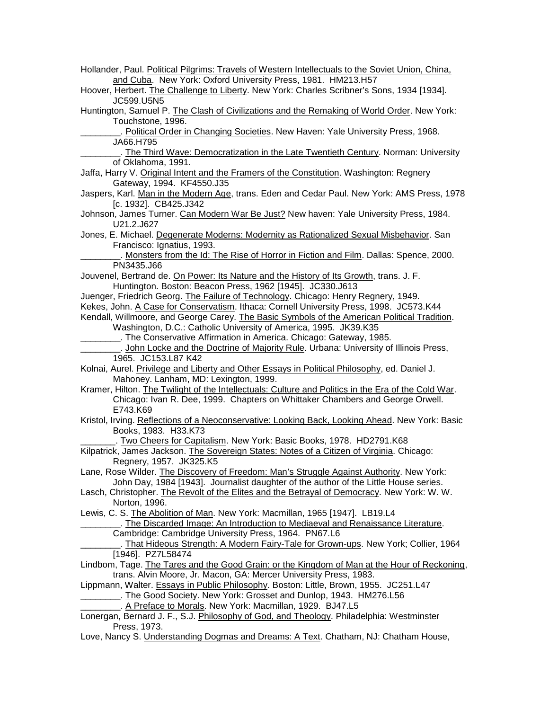| Hollander, Paul. Political Pilgrims: Travels of Western Intellectuals to the Soviet Union, China,<br>and Cuba. New York: Oxford University Press, 1981. HM213.H57 |
|-------------------------------------------------------------------------------------------------------------------------------------------------------------------|
|                                                                                                                                                                   |
| Hoover, Herbert. The Challenge to Liberty. New York: Charles Scribner's Sons, 1934 [1934].                                                                        |
| JC599.U5N5                                                                                                                                                        |
| Huntington, Samuel P. The Clash of Civilizations and the Remaking of World Order. New York:                                                                       |
| Touchstone, 1996.                                                                                                                                                 |
| Political Order in Changing Societies. New Haven: Yale University Press, 1968.                                                                                    |
| JA66.H795                                                                                                                                                         |
| _. The Third Wave: Democratization in the Late Twentieth Century. Norman: University                                                                              |
| of Oklahoma, 1991.                                                                                                                                                |
| Jaffa, Harry V. Original Intent and the Framers of the Constitution. Washington: Regnery                                                                          |
| Gateway, 1994. KF4550.J35<br>Jaspers, Karl. Man in the Modern Age, trans. Eden and Cedar Paul. New York: AMS Press, 1978                                          |
| [c. 1932]. CB425.J342                                                                                                                                             |
| Johnson, James Turner. Can Modern War Be Just? New haven: Yale University Press, 1984.<br>U21.2.J627                                                              |
| Jones, E. Michael. Degenerate Moderns: Modernity as Rationalized Sexual Misbehavior. San                                                                          |
| Francisco: Ignatius, 1993.                                                                                                                                        |
| Monsters from the Id: The Rise of Horror in Fiction and Film. Dallas: Spence, 2000.                                                                               |
| PN3435.J66                                                                                                                                                        |
| Jouvenel, Bertrand de. On Power: Its Nature and the History of Its Growth, trans. J. F.<br>Huntington. Boston: Beacon Press, 1962 [1945]. JC330.J613              |
| Juenger, Friedrich Georg. The Failure of Technology. Chicago: Henry Regnery, 1949.                                                                                |
| Kekes, John. A Case for Conservatism. Ithaca: Cornell University Press, 1998. JC573.K44                                                                           |
|                                                                                                                                                                   |
| Kendall, Willmoore, and George Carey. The Basic Symbols of the American Political Tradition.                                                                      |
| Washington, D.C.: Catholic University of America, 1995. JK39.K35                                                                                                  |
|                                                                                                                                                                   |
| John Locke and the Doctrine of Majority Rule. Urbana: University of Illinois Press,                                                                               |
| 1965. JC153.L87 K42                                                                                                                                               |
| Kolnai, Aurel. Privilege and Liberty and Other Essays in Political Philosophy, ed. Daniel J.                                                                      |
| Mahoney. Lanham, MD: Lexington, 1999.                                                                                                                             |
| Kramer, Hilton. The Twilight of the Intellectuals: Culture and Politics in the Era of the Cold War.                                                               |
| Chicago: Ivan R. Dee, 1999. Chapters on Whittaker Chambers and George Orwell.<br>E743.K69                                                                         |
|                                                                                                                                                                   |
| Kristol, Irving. Reflections of a Neoconservative: Looking Back, Looking Ahead. New York: Basic                                                                   |
| Books, 1983. H33.K73                                                                                                                                              |
| Two Cheers for Capitalism. New York: Basic Books, 1978. HD2791.K68                                                                                                |
| Kilpatrick, James Jackson. The Sovereign States: Notes of a Citizen of Virginia. Chicago:                                                                         |
| Regnery, 1957. JK325.K5                                                                                                                                           |
| Lane, Rose Wilder. The Discovery of Freedom: Man's Struggle Against Authority. New York:                                                                          |
| John Day, 1984 [1943]. Journalist daughter of the author of the Little House series.                                                                              |
| Lasch, Christopher. The Revolt of the Elites and the Betrayal of Democracy. New York: W. W.                                                                       |
| Norton, 1996.                                                                                                                                                     |
| Lewis, C. S. The Abolition of Man. New York: Macmillan, 1965 [1947]. LB19.L4                                                                                      |
| . The Discarded Image: An Introduction to Mediaeval and Renaissance Literature.                                                                                   |
| Cambridge: Cambridge University Press, 1964. PN67.L6                                                                                                              |
| That Hideous Strength: A Modern Fairy-Tale for Grown-ups. New York; Collier, 1964                                                                                 |
| [1946]. PZ7L58474                                                                                                                                                 |
| Lindbom, Tage. The Tares and the Good Grain: or the Kingdom of Man at the Hour of Reckoning,                                                                      |
| trans. Alvin Moore, Jr. Macon, GA: Mercer University Press, 1983.                                                                                                 |
| Lippmann, Walter. Essays in Public Philosophy. Boston: Little, Brown, 1955. JC251.L47                                                                             |
| _. The Good Society. New York: Grosset and Dunlop, 1943. HM276.L56                                                                                                |
| . A Preface to Morals. New York: Macmillan, 1929. BJ47.L5                                                                                                         |
| Lonergan, Bernard J. F., S.J. Philosophy of God, and Theology. Philadelphia: Westminster<br>Press, 1973.                                                          |
| Love, Nancy S. Understanding Dogmas and Dreams: A Text. Chatham, NJ: Chatham House,                                                                               |
|                                                                                                                                                                   |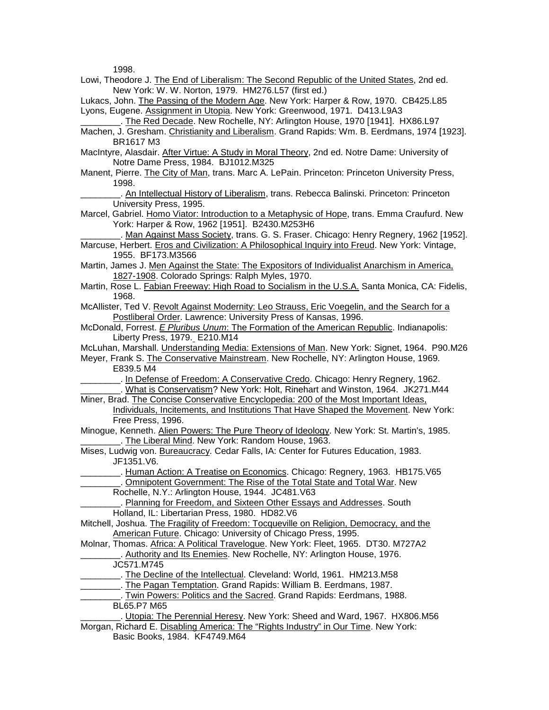1009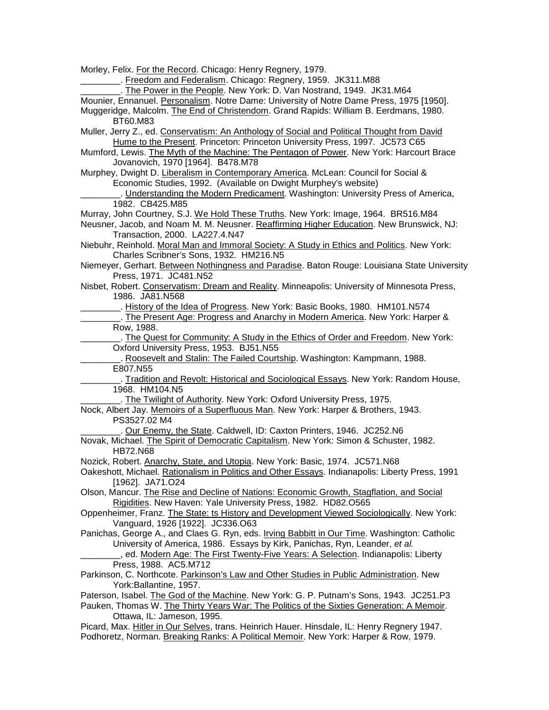Morley, Felix. For the Record. Chicago: Henry Regnery, 1979.

\_\_\_\_\_\_\_\_. Freedom and Federalism. Chicago: Regnery, 1959. JK311.M88 The Power in the People. New York: D. Van Nostrand, 1949. JK31.M64 Mounier, Ennanuel. Personalism. Notre Dame: University of Notre Dame Press, 1975 [1950]. Muggeridge, Malcolm. The End of Christendom. Grand Rapids: William B. Eerdmans, 1980. BT60.M83 Muller, Jerry Z., ed. Conservatism: An Anthology of Social and Political Thought from David Hume to the Present. Princeton: Princeton University Press, 1997. JC573 C65 Mumford, Lewis. The Myth of the Machine: The Pentagon of Power. New York: Harcourt Brace Jovanovich, 1970 [1964]. B478.M78 Murphey, Dwight D. Liberalism in Contemporary America. McLean: Council for Social & Economic Studies, 1992. (Available on Dwight Murphey's website) \_\_\_\_\_\_\_\_. Understanding the Modern Predicament. Washington: University Press of America, 1982. CB425.M85 Murray, John Courtney, S.J. We Hold These Truths. New York: Image, 1964. BR516.M84 Neusner, Jacob, and Noam M. M. Neusner. Reaffirming Higher Education. New Brunswick, NJ: Transaction, 2000. LA227.4.N47 Niebuhr, Reinhold. Moral Man and Immoral Society: A Study in Ethics and Politics. New York: Charles Scribner's Sons, 1932. HM216.N5 Niemeyer, Gerhart. Between Nothingness and Paradise. Baton Rouge: Louisiana State University Press, 1971. JC481.N52 Nisbet, Robert. Conservatism: Dream and Reality. Minneapolis: University of Minnesota Press, 1986. JA81.N568 \_\_\_\_\_\_\_\_. History of the Idea of Progress. New York: Basic Books, 1980. HM101.N574 \_\_\_\_\_\_\_\_. The Present Age: Progress and Anarchy in Modern America. New York: Harper & Row, 1988. \_\_\_\_\_\_\_\_. The Quest for Community: A Study in the Ethics of Order and Freedom. New York: Oxford University Press, 1953. BJ51.N55 \_\_\_\_\_\_\_\_. Roosevelt and Stalin: The Failed Courtship. Washington: Kampmann, 1988. E807.N55 . Tradition and Revolt: Historical and Sociological Essays. New York: Random House, 1968. HM104.N5 \_\_\_\_\_\_\_\_. The Twilight of Authority. New York: Oxford University Press, 1975. Nock, Albert Jay. Memoirs of a Superfluous Man. New York: Harper & Brothers, 1943. PS3527.02 M4 Our Enemy, the State. Caldwell, ID: Caxton Printers, 1946. JC252.N6 Novak, Michael. The Spirit of Democratic Capitalism. New York: Simon & Schuster, 1982. HB72.N68 Nozick, Robert. Anarchy, State, and Utopia. New York: Basic, 1974. JC571.N68 Oakeshott, Michael. Rationalism in Politics and Other Essays. Indianapolis: Liberty Press, 1991 [1962]. JA71.O24 Olson, Mancur. The Rise and Decline of Nations: Economic Growth, Stagflation, and Social Rigidities. New Haven: Yale University Press, 1982. HD82.O565 Oppenheimer, Franz. The State: ts History and Development Viewed Sociologically. New York: Vanguard, 1926 [1922]. JC336.O63 Panichas, George A., and Claes G. Ryn, eds. Irving Babbitt in Our Time. Washington: Catholic University of America, 1986. Essays by Kirk, Panichas, Ryn, Leander, *et al.* \_\_\_\_\_\_\_\_, ed. Modern Age: The First Twenty-Five Years: A Selection. Indianapolis: Liberty Press, 1988. AC5.M712 Parkinson, C. Northcote. Parkinson's Law and Other Studies in Public Administration. New York:Ballantine, 1957. Paterson, Isabel. The God of the Machine. New York: G. P. Putnam's Sons, 1943. JC251.P3 Pauken, Thomas W. The Thirty Years War: The Politics of the Sixties Generation: A Memoir. Ottawa, IL: Jameson, 1995.

Picard, Max. Hitler in Our Selves, trans. Heinrich Hauer. Hinsdale, IL: Henry Regnery 1947. Podhoretz, Norman. Breaking Ranks: A Political Memoir. New York: Harper & Row, 1979.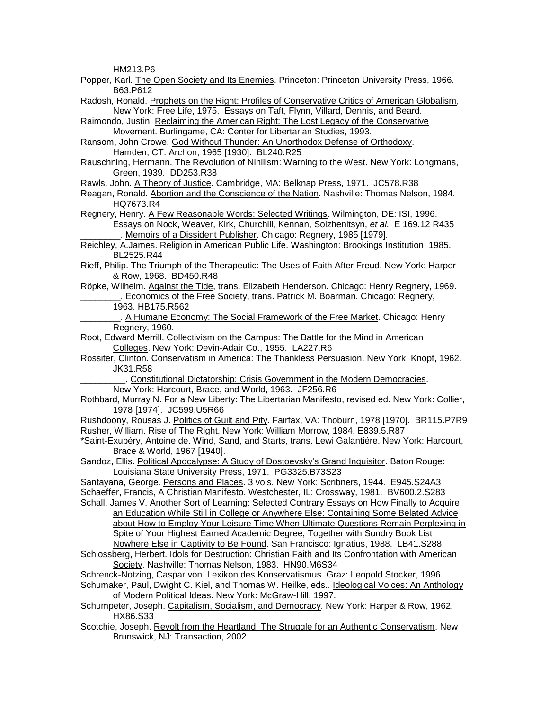HM213.P6

- Popper, Karl. The Open Society and Its Enemies. Princeton: Princeton University Press, 1966. B63.P612
- Radosh, Ronald. Prophets on the Right: Profiles of Conservative Critics of American Globalism, New York: Free Life, 1975. Essays on Taft, Flynn, Villard, Dennis, and Beard.
- Raimondo, Justin. Reclaiming the American Right: The Lost Legacy of the Conservative Movement. Burlingame, CA: Center for Libertarian Studies, 1993.
- Ransom, John Crowe. God Without Thunder: An Unorthodox Defense of Orthodoxy. Hamden, CT: Archon, 1965 [1930]. BL240.R25
- Rauschning, Hermann. The Revolution of Nihilism: Warning to the West. New York: Longmans, Green, 1939. DD253.R38
- Rawls, John. A Theory of Justice. Cambridge, MA: Belknap Press, 1971. JC578.R38
- Reagan, Ronald. Abortion and the Conscience of the Nation. Nashville: Thomas Nelson, 1984. HQ7673.R4
- Regnery, Henry. A Few Reasonable Words: Selected Writings. Wilmington, DE: ISI, 1996. Essays on Nock, Weaver, Kirk, Churchill, Kennan, Solzhenitsyn, *et al.* E 169.12 R435 Memoirs of a Dissident Publisher. Chicago: Regnery, 1985 [1979].
- Reichley, A.James. Religion in American Public Life. Washington: Brookings Institution, 1985. BL2525.R44
- Rieff, Philip. The Triumph of the Therapeutic: The Uses of Faith After Freud. New York: Harper & Row, 1968. BD450.R48
- Röpke, Wilhelm. Against the Tide, trans. Elizabeth Henderson. Chicago: Henry Regnery, 1969. Economics of the Free Society, trans. Patrick M. Boarman. Chicago: Regnery,
	- 1963. HB175.R562
- \_\_\_\_\_\_\_\_. A Humane Economy: The Social Framework of the Free Market. Chicago: Henry Regnery, 1960.
- Root, Edward Merrill. Collectivism on the Campus: The Battle for the Mind in American Colleges. New York: Devin-Adair Co., 1955. LA227.R6
- Rossiter, Clinton. Conservatism in America: The Thankless Persuasion. New York: Knopf, 1962. JK31.R58
	- \_\_\_\_\_\_\_\_\_. Constitutional Dictatorship: Crisis Government in the Modern Democracies. New York: Harcourt, Brace, and World, 1963. JF256.R6
- Rothbard, Murray N. For a New Liberty: The Libertarian Manifesto, revised ed. New York: Collier, 1978 [1974]. JC599.U5R66
- Rushdoony, Rousas J. Politics of Guilt and Pity. Fairfax, VA: Thoburn, 1978 [1970]. BR115.P7R9 Rusher, William. Rise of The Right. New York: William Morrow, 1984. E839.5.R87
- \*Saint-Exupéry, Antoine de. Wind, Sand, and Starts, trans. Lewi Galantiére. New York: Harcourt, Brace & World, 1967 [1940].
- Sandoz, Ellis. Political Apocalypse: A Study of Dostoevsky's Grand Inquisitor. Baton Rouge: Louisiana State University Press, 1971. PG3325.B73S23
- Santayana, George. Persons and Places. 3 vols. New York: Scribners, 1944. E945.S24A3 Schaeffer, Francis, A Christian Manifesto. Westchester, IL: Crossway, 1981. BV600.2.S283
- Schall, James V. Another Sort of Learning: Selected Contrary Essays on How Finally to Acquire an Education While Still in College or Anywhere Else: Containing Some Belated Advice about How to Employ Your Leisure Time When Ultimate Questions Remain Perplexing in Spite of Your Highest Earned Academic Degree, Together with Sundry Book List Nowhere Else in Captivity to Be Found. San Francisco: Ignatius, 1988. LB41.S288
- Schlossberg, Herbert. Idols for Destruction: Christian Faith and Its Confrontation with American Society. Nashville: Thomas Nelson, 1983. HN90.M6S34
- Schrenck-Notzing, Caspar von. Lexikon des Konservatismus. Graz: Leopold Stocker, 1996.
- Schumaker, Paul, Dwight C. Kiel, and Thomas W. Heilke, eds.. Ideological Voices: An Anthology of Modern Political Ideas. New York: McGraw-Hill, 1997.
- Schumpeter, Joseph. Capitalism, Socialism, and Democracy. New York: Harper & Row, 1962. HX86.S33
- Scotchie, Joseph. Revolt from the Heartland: The Struggle for an Authentic Conservatism. New Brunswick, NJ: Transaction, 2002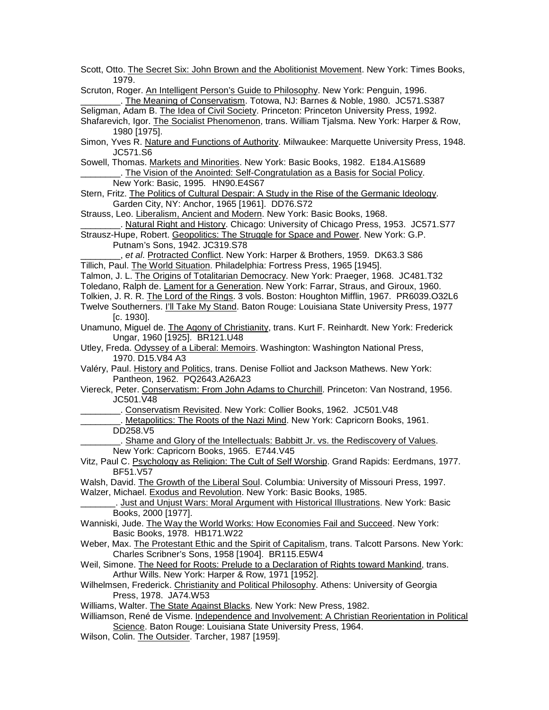| Scott, Otto. The Secret Six: John Brown and the Abolitionist Movement. New York: Times Books,<br>1979. |
|--------------------------------------------------------------------------------------------------------|
| Scruton, Roger. An Intelligent Person's Guide to Philosophy. New York: Penguin, 1996.                  |
| . The Meaning of Conservatism. Totowa, NJ: Barnes & Noble, 1980. JC571.S387                            |
| Seligman, Adam B. The Idea of Civil Society. Princeton: Princeton University Press, 1992.              |
|                                                                                                        |
| Shafarevich, Igor. The Socialist Phenomenon, trans. William Tjalsma. New York: Harper & Row,           |
| 1980 [1975].                                                                                           |
| Simon, Yves R. Nature and Functions of Authority. Milwaukee: Marquette University Press, 1948.         |
| JC571.S6                                                                                               |
| Sowell, Thomas. Markets and Minorities. New York: Basic Books, 1982. E184.A1S689                       |
| The Vision of the Anointed: Self-Congratulation as a Basis for Social Policy.                          |
| New York: Basic, 1995. HN90.E4S67                                                                      |
| Stern, Fritz. The Politics of Cultural Despair: A Study in the Rise of the Germanic Ideology.          |
| Garden City, NY: Anchor, 1965 [1961]. DD76.S72                                                         |
| Strauss, Leo. Liberalism, Ancient and Modern. New York: Basic Books, 1968.                             |
| _. Natural Right and History. Chicago: University of Chicago Press, 1953. JC571.S77                    |
| Strausz-Hupe, Robert. Geopolitics: The Struggle for Space and Power. New York: G.P.                    |
| Putnam's Sons, 1942. JC319.S78                                                                         |
| et al. Protracted Conflict. New York: Harper & Brothers, 1959. DK63.3 S86                              |
| Tillich, Paul. The World Situation. Philadelphia: Fortress Press, 1965 [1945].                         |
| Talmon, J. L. The Origins of Totalitarian Democracy. New York: Praeger, 1968. JC481.T32                |
| Toledano, Ralph de. Lament for a Generation. New York: Farrar, Straus, and Giroux, 1960.               |
| Tolkien, J. R. R. The Lord of the Rings. 3 vols. Boston: Houghton Mifflin, 1967. PR6039.O32L6          |
| Twelve Southerners. I'll Take My Stand. Baton Rouge: Louisiana State University Press, 1977            |
| $[c. 1930]$ .                                                                                          |
| Unamuno, Miguel de. The Agony of Christianity, trans. Kurt F. Reinhardt. New York: Frederick           |
| Ungar, 1960 [1925]. BR121.U48                                                                          |
| Utley, Freda. Odyssey of a Liberal: Memoirs. Washington: Washington National Press,                    |
| 1970. D15.V84 A3                                                                                       |
| Valéry, Paul. History and Politics, trans. Denise Folliot and Jackson Mathews. New York:               |
| Pantheon, 1962. PQ2643.A26A23                                                                          |
| Viereck, Peter. Conservatism: From John Adams to Churchill. Princeton: Van Nostrand, 1956.             |
| JC501.V48                                                                                              |
| Conservatism Revisited. New York: Collier Books, 1962. JC501.V48                                       |
| Metapolitics: The Roots of the Nazi Mind. New York: Capricorn Books, 1961.                             |
| DD258.V5                                                                                               |
| Shame and Glory of the Intellectuals: Babbitt Jr. vs. the Rediscovery of Values.                       |
| New York: Capricorn Books, 1965. E744.V45                                                              |
| Vitz, Paul C. Psychology as Religion: The Cult of Self Worship. Grand Rapids: Eerdmans, 1977.          |
| BF51.V57                                                                                               |
| Walsh, David. The Growth of the Liberal Soul. Columbia: University of Missouri Press, 1997.            |
| Walzer, Michael. Exodus and Revolution. New York: Basic Books, 1985.                                   |
| Just and Unjust Wars: Moral Argument with Historical Illustrations. New York: Basic                    |
| Books, 2000 [1977].                                                                                    |
| Wanniski, Jude. The Way the World Works: How Economies Fail and Succeed. New York:                     |
| Basic Books, 1978. HB171.W22                                                                           |
| Weber, Max. The Protestant Ethic and the Spirit of Capitalism, trans. Talcott Parsons. New York:       |
| Charles Scribner's Sons, 1958 [1904]. BR115.E5W4                                                       |
| Weil, Simone. The Need for Roots: Prelude to a Declaration of Rights toward Mankind, trans.            |
| Arthur Wills. New York: Harper & Row, 1971 [1952].                                                     |
| Wilhelmsen, Frederick. Christianity and Political Philosophy. Athens: University of Georgia            |
| Press, 1978. JA74.W53                                                                                  |
| Williams, Walter. The State Against Blacks. New York: New Press, 1982.                                 |
| Williamson, René de Visme. Independence and Involvement: A Christian Reorientation in Political        |
|                                                                                                        |
| Science. Baton Rouge: Louisiana State University Press, 1964.                                          |
| Wilson, Colin. The Outsider. Tarcher, 1987 [1959].                                                     |